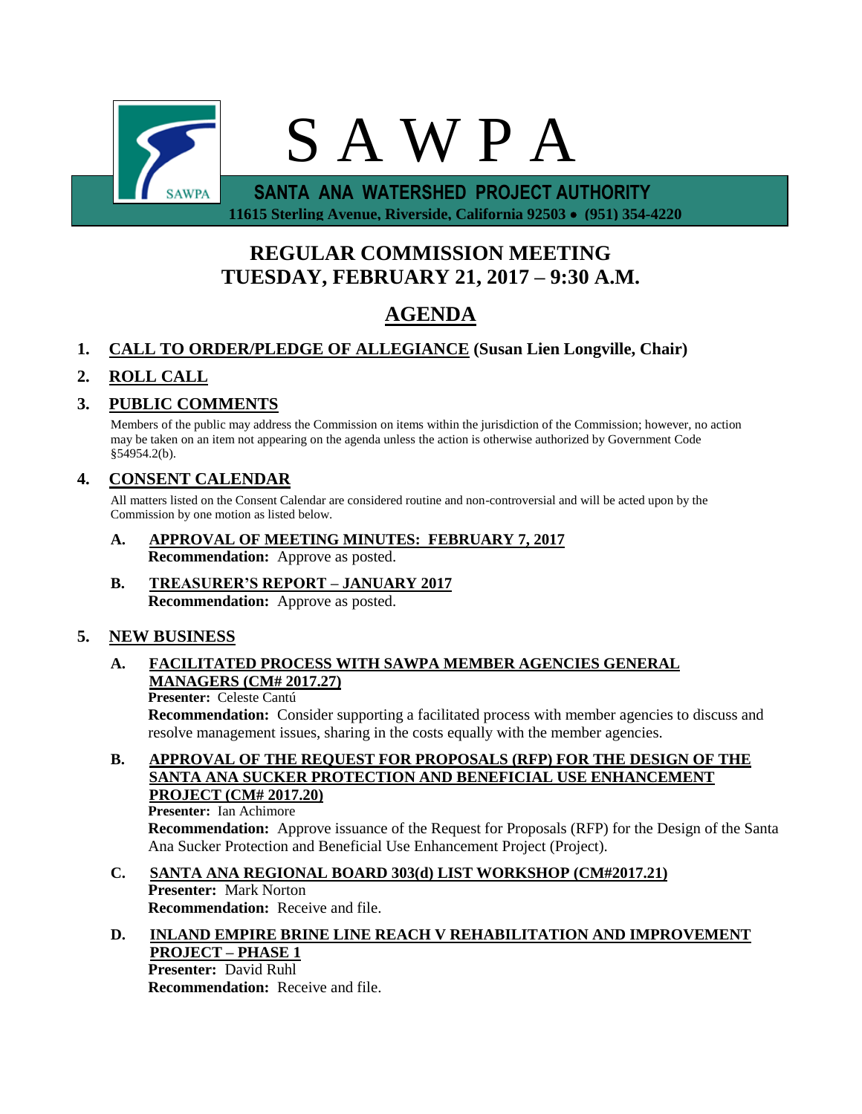

 **11615 Sterling Avenue, Riverside, California 92503 (951) 354-4220**

# **REGULAR COMMISSION MEETING TUESDAY, FEBRUARY 21, 2017 – 9:30 A.M.**

# **AGENDA**

## **1. CALL TO ORDER/PLEDGE OF ALLEGIANCE (Susan Lien Longville, Chair)**

## **2. ROLL CALL**

### **3. PUBLIC COMMENTS**

Members of the public may address the Commission on items within the jurisdiction of the Commission; however, no action may be taken on an item not appearing on the agenda unless the action is otherwise authorized by Government Code §54954.2(b).

### **4. CONSENT CALENDAR**

All matters listed on the Consent Calendar are considered routine and non-controversial and will be acted upon by the Commission by one motion as listed below.

- **A. APPROVAL OF MEETING MINUTES: FEBRUARY 7, 2017 Recommendation:** Approve as posted.
- **B. TREASURER'S REPORT – JANUARY 2017 Recommendation:** Approve as posted.

### **5. NEW BUSINESS**

### **A. FACILITATED PROCESS WITH SAWPA MEMBER AGENCIES GENERAL MANAGERS (CM# 2017.27)**

#### **Presenter:** Celeste Cantú

**Recommendation:** Consider supporting a facilitated process with member agencies to discuss and resolve management issues, sharing in the costs equally with the member agencies.

**B. APPROVAL OF THE REQUEST FOR PROPOSALS (RFP) FOR THE DESIGN OF THE SANTA ANA SUCKER PROTECTION AND BENEFICIAL USE ENHANCEMENT PROJECT (CM# 2017.20)**

**Presenter:** Ian Achimore **Recommendation:** Approve issuance of the Request for Proposals (RFP) for the Design of the Santa Ana Sucker Protection and Beneficial Use Enhancement Project (Project).

### **C. SANTA ANA REGIONAL BOARD 303(d) LIST WORKSHOP (CM#2017.21) Presenter:** Mark Norton **Recommendation:** Receive and file.

#### **D. INLAND EMPIRE BRINE LINE REACH V REHABILITATION AND IMPROVEMENT PROJECT – PHASE 1 Presenter:** David Ruhl

**Recommendation:** Receive and file.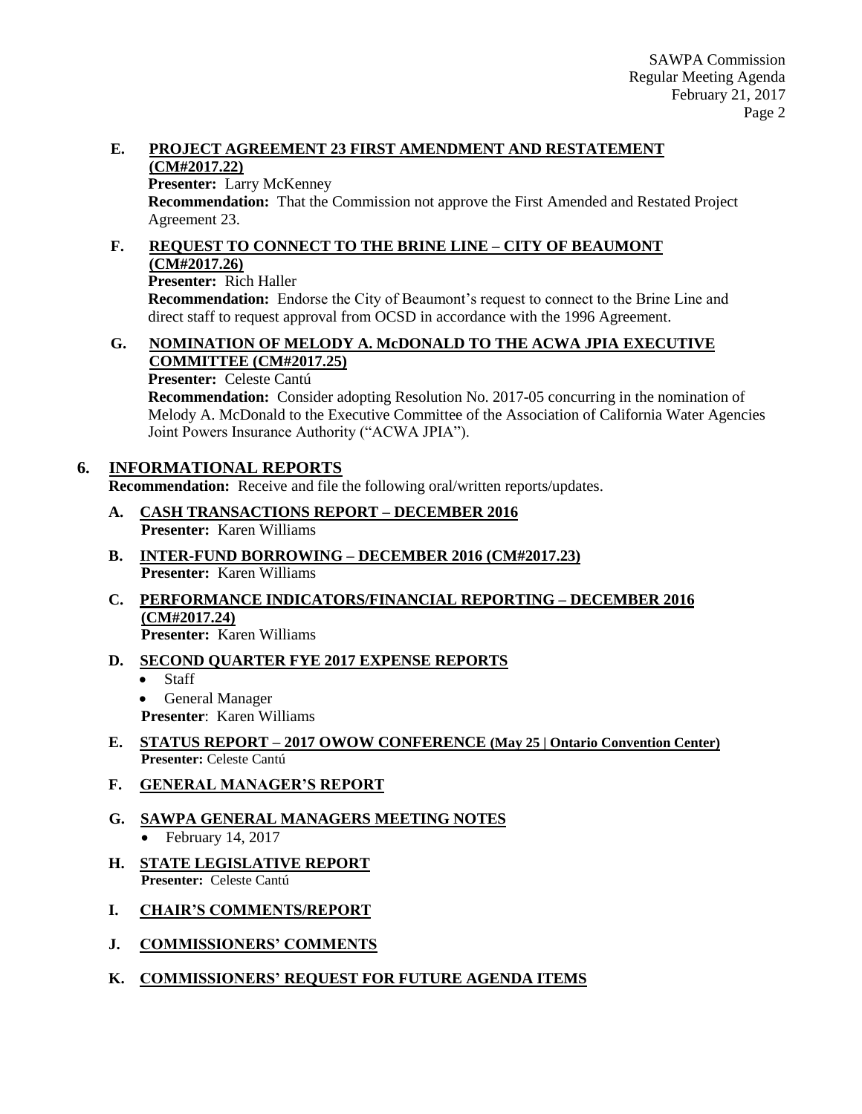### **E. PROJECT AGREEMENT 23 FIRST AMENDMENT AND RESTATEMENT (CM#2017.22)**

**Presenter:** Larry McKenney

**Recommendation:** That the Commission not approve the First Amended and Restated Project Agreement 23.

### **F. REQUEST TO CONNECT TO THE BRINE LINE – CITY OF BEAUMONT (CM#2017.26)**

**Presenter:** Rich Haller

**Recommendation:** Endorse the City of Beaumont's request to connect to the Brine Line and direct staff to request approval from OCSD in accordance with the 1996 Agreement.

### **G. NOMINATION OF MELODY A. McDONALD TO THE ACWA JPIA EXECUTIVE COMMITTEE (CM#2017.25)**

**Presenter:** Celeste Cantú

**Recommendation:** Consider adopting Resolution No. 2017-05 concurring in the nomination of Melody A. McDonald to the Executive Committee of the Association of California Water Agencies Joint Powers Insurance Authority ("ACWA JPIA").

### **6. INFORMATIONAL REPORTS**

**Recommendation:** Receive and file the following oral/written reports/updates.

- **A. CASH TRANSACTIONS REPORT – DECEMBER 2016 Presenter:** Karen Williams
- **B. INTER-FUND BORROWING – DECEMBER 2016 (CM#2017.23) Presenter:** Karen Williams
- **C. PERFORMANCE INDICATORS/FINANCIAL REPORTING – DECEMBER 2016 (CM#2017.24)**

**Presenter:** Karen Williams

### **D. SECOND QUARTER FYE 2017 EXPENSE REPORTS**

- Staff
- General Manager
- **Presenter**: Karen Williams

### **E. STATUS REPORT – 2017 OWOW CONFERENCE (May 25 | Ontario Convention Center) Presenter:** Celeste Cantú

**F. GENERAL MANAGER'S REPORT**

#### **G. SAWPA GENERAL MANAGERS MEETING NOTES**  $\bullet$  February 14, 2017

- **H. STATE LEGISLATIVE REPORT Presenter:** Celeste Cantú
- **I. CHAIR'S COMMENTS/REPORT**
- **J. COMMISSIONERS' COMMENTS**
- **K. COMMISSIONERS' REQUEST FOR FUTURE AGENDA ITEMS**